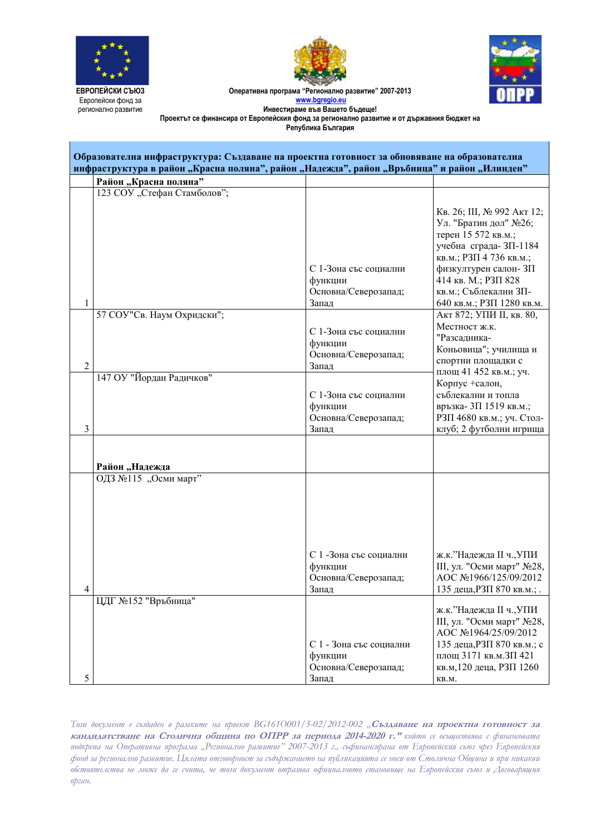





Оперативна програма "Регионално развитие" 2007-2013 **www.bgregio.eu Инвестираме във Вашето бъдеще!** 

Проектът се финансира от Европейския фонд за регионално развитие и от държавния бюджет на

Република **България** 

| Образователна инфраструктура: Създаване на проектна готовност за обновяване на образователна<br>инфраструктура в район "Красна поляна", район "Надежда", район "Връбница" и район "Илинден" |                             |                                                                     |                                                                                                                                                                          |
|---------------------------------------------------------------------------------------------------------------------------------------------------------------------------------------------|-----------------------------|---------------------------------------------------------------------|--------------------------------------------------------------------------------------------------------------------------------------------------------------------------|
|                                                                                                                                                                                             | Район "Красна поляна"       |                                                                     |                                                                                                                                                                          |
|                                                                                                                                                                                             | 123 СОУ "Стефан Стамболов"; |                                                                     |                                                                                                                                                                          |
|                                                                                                                                                                                             |                             |                                                                     | Кв. 26; Ш, № 992 Акт 12;<br>Ул. "Братин дол" №26;<br>терен 15 572 кв.м.;                                                                                                 |
|                                                                                                                                                                                             |                             |                                                                     | учебна сграда- ЗП-1184<br>кв.м.; РЗП 4 736 кв.м.;                                                                                                                        |
|                                                                                                                                                                                             |                             | С 1-Зона със социални<br>функции                                    | физкултурен салон- ЗП<br>414 кв. М.; РЗП 828                                                                                                                             |
| 1                                                                                                                                                                                           |                             | Основна/Северозапад;<br>Запад                                       | кв.м.; Съблекални ЗП-<br>640 кв.м.; РЗП 1280 кв.м.                                                                                                                       |
|                                                                                                                                                                                             | 57 СОУ"Св. Наум Охридски";  | С 1-Зона със социални                                               | Акт 872; УПИ II, кв. 80,<br>Местност ж.к.                                                                                                                                |
|                                                                                                                                                                                             |                             | функции<br>Основна/Северозапад;                                     | "Разсадника-<br>Коньовица"; училища и                                                                                                                                    |
| $\sqrt{2}$                                                                                                                                                                                  | 147 ОУ "Йордан Радичков"    | Запад                                                               | спортни площадки с<br>площ 41 452 кв.м.; уч.                                                                                                                             |
|                                                                                                                                                                                             |                             | С 1-Зона със социални                                               | Корпус +салон,<br>съблекални и топла                                                                                                                                     |
|                                                                                                                                                                                             |                             | функции<br>Основна/Северозапад;                                     | връзка-3П 1519 кв.м.;<br>РЗП 4680 кв.м.; уч. Стол-                                                                                                                       |
| 3                                                                                                                                                                                           |                             | Запад                                                               | клуб; 2 футболни игрища                                                                                                                                                  |
|                                                                                                                                                                                             |                             |                                                                     |                                                                                                                                                                          |
|                                                                                                                                                                                             | Район "Надежда              |                                                                     |                                                                                                                                                                          |
|                                                                                                                                                                                             | ОДЗ №115 "Осми март"        |                                                                     |                                                                                                                                                                          |
| 4                                                                                                                                                                                           |                             | С 1 -Зона със социални<br>функции<br>Основна/Северозапад;<br>Запад  | ж.к."Надежда II ч., УПИ<br>Ш, ул. "Осми март" №28,<br>AOC №1966/125/09/2012<br>135 деца, РЗП 870 кв.м.; .                                                                |
| 5                                                                                                                                                                                           | ЦДГ №152 "Връбница"         | С 1 - Зона със социални<br>функции<br>Основна/Северозапад;<br>Запад | ж.к."Надежда II ч., УПИ<br>Ш, ул. "Осми март" №28,<br>AOC No1964/25/09/2012<br>135 деца, РЗП 870 кв.м.; с<br>площ 3171 кв.м. ЗП 421<br>кв.м, 120 деца, РЗП 1260<br>KB.M. |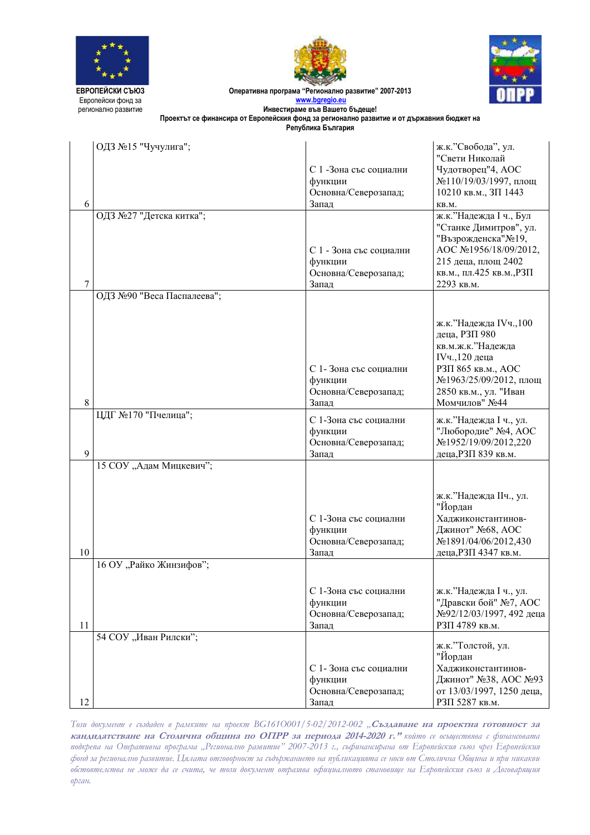





Оперативна програма "Регионално развитие" 2007-2013 www.bgregio.e **Инвестираме във Вашето бъдеще!** 

Проектът се финансира от Европейския фонд за регионално развитие и от държавния бюджет на

Република **България** 

|    | ОДЗ №15 "Чучулига";        |                                   | ж.к."Свобода", ул.                                |
|----|----------------------------|-----------------------------------|---------------------------------------------------|
|    |                            |                                   | "Свети Николай                                    |
|    |                            | С 1 -Зона със социални<br>функции | Чудотворец"4, АОС<br>№110/19/03/1997, площ        |
|    |                            | Основна/Северозапад;              | 10210 кв.м., ЗП 1443                              |
| 6  |                            | Запад                             | KB.M.                                             |
|    | ОДЗ №27 "Детска китка";    |                                   | ж.к."Надежда I ч., Бул                            |
|    |                            |                                   | "Станке Димитров", ул.                            |
|    |                            | С 1 - Зона със социални           | "Възрожденска"№19,<br>AOC №1956/18/09/2012,       |
|    |                            | функции                           | 215 деца, площ 2402                               |
|    |                            | Основна/Северозапад;              | кв.м., пл.425 кв.м., РЗП                          |
| 7  |                            | Запад                             | 2293 кв.м.                                        |
|    | ОДЗ №90 "Веса Паспалеева"; |                                   |                                                   |
|    |                            |                                   |                                                   |
|    |                            |                                   | ж.к."Надежда IVч., 100                            |
|    |                            |                                   | деца, РЗП 980<br>кв.м.ж.к."Надежда                |
|    |                            |                                   | IVч., 120 деца                                    |
|    |                            | С 1-Зона със социални             | РЗП 865 кв.м., АОС                                |
|    |                            | функции                           | №1963/25/09/2012, площ                            |
| 8  |                            | Основна/Северозапад;<br>Запад     | 2850 кв.м., ул. "Иван<br>Момчилов" №44            |
|    | ЦДГ №170 "Пчелица";        |                                   |                                                   |
|    |                            | С 1-Зона със социални<br>функции  | ж.к."Надежда I ч., ул.<br>"Любородие" №4, АОС     |
|    |                            | Основна/Северозапад;              | №1952/19/09/2012,220                              |
| 9  |                            | Запад                             | деца, РЗП 839 кв.м.                               |
|    | 15 СОУ "Адам Мицкевич";    |                                   |                                                   |
|    |                            |                                   |                                                   |
|    |                            |                                   | ж.к."Надежда ІІч., ул.                            |
|    |                            |                                   | "Йордан                                           |
|    |                            | С 1-Зона със социални<br>функции  | Хаджиконстантинов-<br>Джинот" №68, АОС            |
|    |                            | Основна/Северозапад;              | №1891/04/06/2012,430                              |
| 10 |                            | Запад                             | деца, РЗП 4347 кв.м.                              |
|    | 16 ОУ "Райко Жинзифов";    |                                   |                                                   |
|    |                            |                                   |                                                   |
|    |                            | С 1-Зона със социални             | ж.к."Надежда I ч., ул.                            |
|    |                            | функции                           | "Дравски бой" №7, АОС<br>№92/12/03/1997, 492 деца |
| 11 |                            | Основна/Северозапад;<br>Запад     | РЗП 4789 кв.м.                                    |
|    | 54 СОУ "Иван Рилски";      |                                   |                                                   |
|    |                            |                                   | ж.к."Толстой, ул.<br>"Йордан                      |
|    |                            | С 1-Зона със социални             | Хаджиконстантинов-                                |
|    |                            | функции                           | Джинот" №38, АОС №93                              |
|    |                            | Основна/Северозапад;              | от 13/03/1997, 1250 деца,                         |
| 12 |                            | Запад                             | РЗП 5287 кв.м.                                    |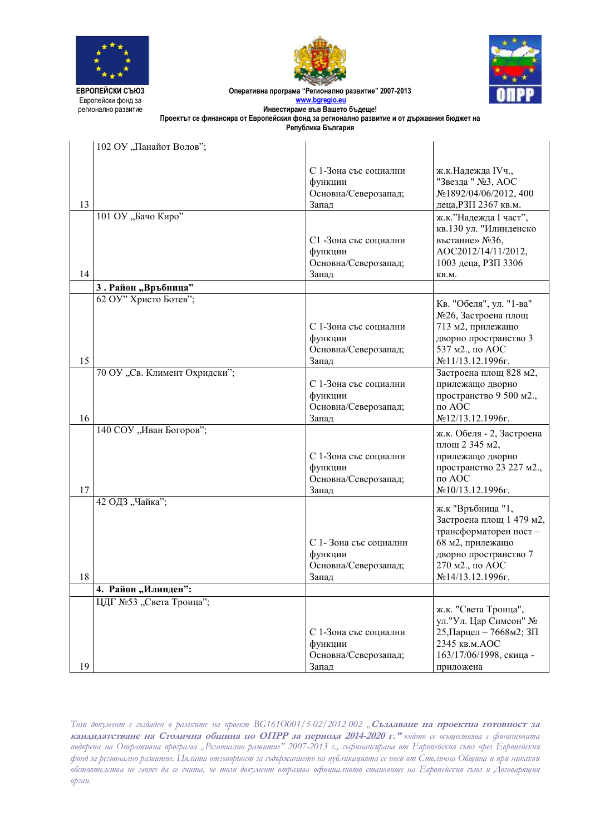





Оперативна програма "Регионално развитие" 2007-2013 www.bgregio.e

**Инвестираме във Вашето бъдеще!** Проектът се финансира от Европейския фонд за регионално развитие и от държавния бюджет на

| Република България |  |
|--------------------|--|
|--------------------|--|

|    | 102 ОУ "Панайот Волов";                |                                                                   |                                                                                                                                                            |
|----|----------------------------------------|-------------------------------------------------------------------|------------------------------------------------------------------------------------------------------------------------------------------------------------|
| 13 | 101 ОУ "Бачо Киро"                     | С 1-Зона със социални<br>функции<br>Основна/Северозапад;<br>Запад | ж.к.Надежда IVч.,<br>"Звезда " №3, АОС<br>No1892/04/06/2012, 400<br>деца, РЗП 2367 кв.м.<br>ж.к."Надежда I част",<br>кв.130 ул. "Илинденско                |
| 14 |                                        | С1 -Зона със социални<br>функции<br>Основна/Северозапад;<br>Запад | въстание» №36,<br>AOC2012/14/11/2012,<br>1003 деца, РЗП 3306<br>KB.M.                                                                                      |
|    | 3. Район "Връбница"                    |                                                                   |                                                                                                                                                            |
| 15 | 62 ОУ" Христо Ботев";                  | С 1-Зона със социални<br>функции<br>Основна/Северозапад;<br>Запад | Кв. "Обеля", ул. "1-ва"<br>№26, Застроена площ<br>713 м2, прилежащо<br>дворно пространство 3<br>537 м2., по АОС<br>№11/13.12.1996г.                        |
| 16 | 70 ОУ "Св. Климент Охридски";          | С 1-Зона със социални<br>функции<br>Основна/Северозапад;<br>Запад | Застроена площ 828 м2,<br>прилежащо дворно<br>пространство 9 500 м2.,<br>по АОС<br>№12/13.12.1996г.                                                        |
| 17 | 140 СОУ "Иван Богоров";                | С 1-Зона със социални<br>функции<br>Основна/Северозапад;<br>Запад | ж.к. Обеля - 2, Застроена<br>площ 2 345 м2,<br>прилежащо дворно<br>пространство 23 227 м2.,<br>по АОС<br>№10/13.12.1996г.                                  |
| 18 | 42 ОДЗ "Чайка";<br>4. Район "Илинден": | С 1-Зона със социални<br>функции<br>Основна/Северозапад;<br>Запад | ж.к "Връбница "1,<br>Застроена площ 1 479 м2,<br>трансформаторен пост-<br>68 м2, прилежащо<br>дворно пространство 7<br>270 м2., по АОС<br>№14/13.12.1996г. |
|    | ЦДГ №53 "Света Троица";                |                                                                   |                                                                                                                                                            |
| 19 |                                        | С 1-Зона със социални<br>функции<br>Основна/Северозапад;<br>Запад | ж.к. "Света Троица",<br>ул."Ул. Цар Симеон" №<br>25, Парцел - 7668м2; ЗП<br>2345 кв.м. АОС<br>163/17/06/1998, скица -<br>приложена                         |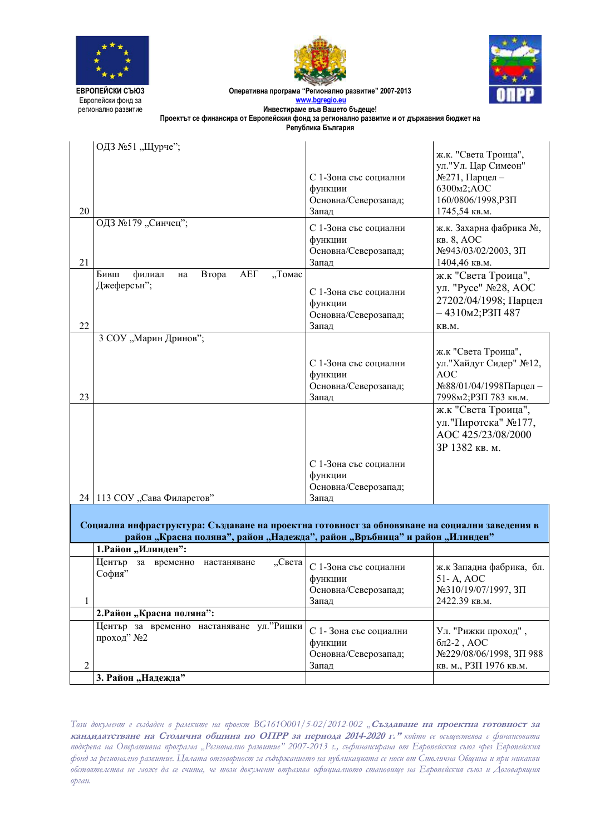

 $\mathbf{I}$ 





Оперативна програма "Регионално развитие" 2007-2013 **www.bgregio.eu**

**Инвестираме във Вашето бъдеще!**  $\Pi$ роектът се финансира от Европейския фонд за регионално развитие и от държавния бюджет на

Република България

|                | ОДЗ №51 "Щурче";                                                                               |                                  |                                                |
|----------------|------------------------------------------------------------------------------------------------|----------------------------------|------------------------------------------------|
|                |                                                                                                |                                  | ж.к. "Света Троица",<br>ул."Ул. Цар Симеон"    |
|                |                                                                                                | С 1-Зона със социални            | $N2271$ , Парцел –                             |
|                |                                                                                                | функции                          | 6300 <sub>M2</sub> ;AOC                        |
|                |                                                                                                | Основна/Северозапад;             | 160/0806/1998, P3IT                            |
| 20             |                                                                                                | Запад                            | 1745,54 кв.м.                                  |
|                | ОДЗ №179 "Синчец";                                                                             | С 1-Зона със социални            | ж.к. Захарна фабрика №,                        |
|                |                                                                                                | функции                          | кв. 8, АОС                                     |
|                |                                                                                                | Основна/Северозапад;             | №943/03/02/2003, ЗП                            |
| 21             |                                                                                                | Запад                            | 1404,46 кв.м.                                  |
|                | <b>AEI</b><br>"Томас<br>Бивш<br>филиал<br>Втора<br>на<br>Джеферсън";                           |                                  | ж.к "Света Троица",                            |
|                |                                                                                                | С 1-Зона със социални            | ул. "Русе" №28, АОС                            |
|                |                                                                                                | функции                          | 27202/04/1998; Парцел                          |
|                |                                                                                                | Основна/Северозапад;             | $-4310M2;$ P3 $\Pi$ 487                        |
| 22             |                                                                                                | Запад                            | KB.M.                                          |
|                | 3 СОУ "Марин Дринов";                                                                          |                                  |                                                |
|                |                                                                                                |                                  | ж.к "Света Троица",<br>ул. "Хайдут Сидер" №12, |
|                |                                                                                                | С 1-Зона със социални<br>функции | <b>AOC</b>                                     |
|                |                                                                                                | Основна/Северозапад;             | №88/01/04/1998Парцел-                          |
| 23             |                                                                                                | Запад                            | 7998м2;РЗП 783 кв.м.                           |
|                |                                                                                                |                                  | ж.к "Света Троица",                            |
|                |                                                                                                |                                  | ул."Пиротска" №177,                            |
|                |                                                                                                |                                  | AOC 425/23/08/2000                             |
|                |                                                                                                |                                  | ЗР 1382 кв. м.                                 |
|                |                                                                                                | С 1-Зона със социални            |                                                |
|                |                                                                                                | функции                          |                                                |
|                |                                                                                                | Основна/Северозапад;             |                                                |
|                | 24   113 СОУ "Сава Филаретов"                                                                  | Запад                            |                                                |
|                |                                                                                                |                                  |                                                |
|                | Социална инфраструктура: Създаване на проектна готовност за обновяване на социални заведения в |                                  |                                                |
|                | район "Красна поляна", район "Надежда", район "Връбница" и район "Илинден"                     |                                  |                                                |
|                | 1. Район "Илинден":                                                                            |                                  |                                                |
|                | Център<br>за временно<br>"Света<br>настаняване                                                 | С 1-Зона със социални            | ж.к Западна фабрика, бл.                       |
|                | София"                                                                                         | функции                          | 51-A, AOC                                      |
|                |                                                                                                | Основна/Северозапад;             | №310/19/07/1997, ЗП                            |
| 1              |                                                                                                | Запад                            | 2422.39 кв.м.                                  |
|                | 2. Район "Красна поляна":                                                                      |                                  |                                                |
|                | Център за временно настаняване ул. "Ришки                                                      | С 1-Зона със социални            | Ул. "Рижки проход",                            |
|                | проход" №2                                                                                     | функции                          | $6\pi$ 2-2 , AOC                               |
|                |                                                                                                | Основна/Северозапад;             | №229/08/06/1998, ЗП 988                        |
| $\overline{c}$ |                                                                                                | Запад                            | кв. м., РЗП 1976 кв.м.                         |
|                | 3. Район "Надежда"                                                                             |                                  |                                                |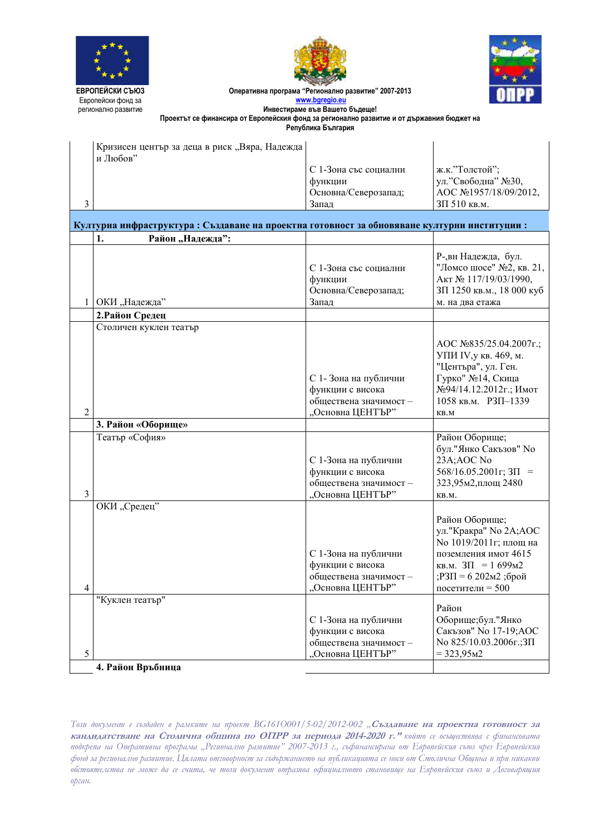





Оперативна програма "Регионално развитие" 2007-2013 www.ba

Инвестираме във Вашето бъдеще! Проектът се финансира от Европейския фонд за регионално развитие и от държавния бюджет на Република България

| Кризисен център за деца в риск "Вяра, Надежда<br>и Любов" |                       |                       |
|-----------------------------------------------------------|-----------------------|-----------------------|
|                                                           | С 1-Зона със социални | ж.к."Толстой";        |
|                                                           | функции               | ул."Свободна" №30,    |
|                                                           | Основна/Северозапад;  | AOC №1957/18/09/2012, |
|                                                           | Запал                 | $3\Pi 510$ кв.м.      |

## Културна инфраструктура: Създаване на проектна готовност за обновяване културни институции:  $\mathbf{1}$ . Район "Надежда": Р-вн Належла, бул. С 1-Зона със социални "Ломсо шосе" №2, кв. 21, функции Акт № 117/19/03/1990, Основна/Северозапад; ЗП 1250 кв.м., 18 000 куб 1 ОКИ "Надежда" Запад м. на два етажа 2. Район Средец Столичен куклен театър AOC №835/25.04.2007г.: УПИ IV, у кв. 469, м. "Центъра", ул. Ген. С 1-Зона на публични Гурко" №14, Скица функции с висока №94/14.12.2012г.: Имот обшествена значимост -1058 кв.м. РЗП-1339  $\overline{2}$ "Основна ЦЕНТЪР" KB.M 3. Район «Оборище» Театър «София» Район Оборище; бул. "Янко Сакъзов" Но С 1-Зона на публични 23A;AOC No функции с висока  $568/16.05.2001$ r; 3 $\Pi$  = обществена значимост -323,95м2, площ 2480 "Основна ЦЕНТЪР"  $\overline{3}$ KB.M. ОКИ "Средец" Район Оборище; ул."Кракра" No 2A;AOC No 1019/2011г; площ на С 1-Зона на публични поземления имот 4615 функции с висока  $KB.M. 3\Pi = 1699M2$ ;РЗП = 6 202м2 ;брой обществена значимост посетители =  $500$  $\overline{4}$ "Основна ЦЕНТЪР" "Куклен театър" Район С 1-Зона на публични Оборище;бул."Янко функции с висока Сакъзов" Но 17-19; АОС обществена значимост -№ 825/10.03.2006г.;ЗП Основна ЦЕНТЪР"  $= 323.95m2$ 5 4. Район Връбница